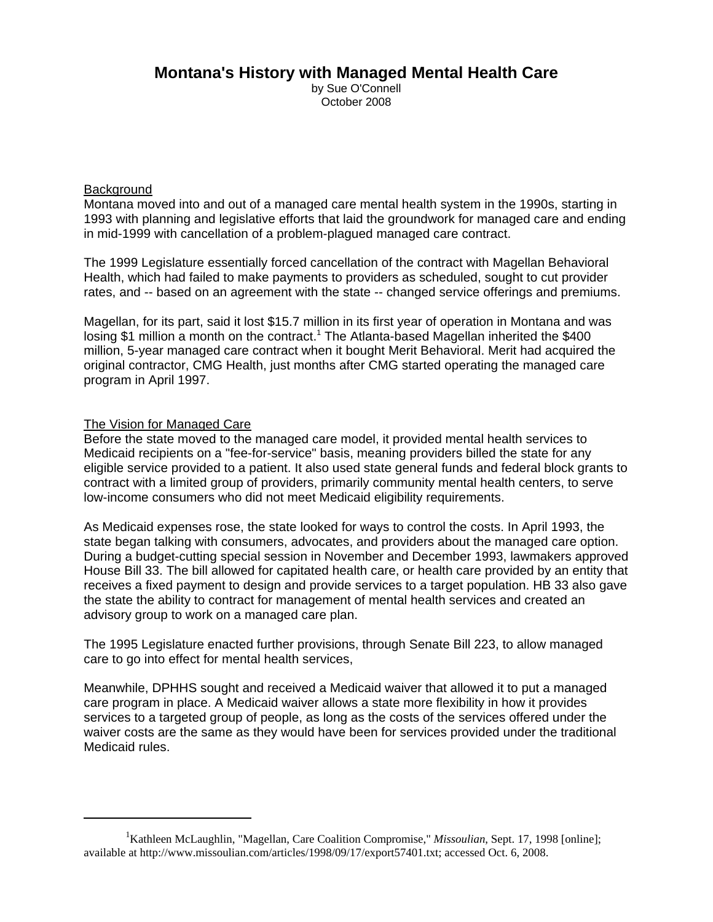## **Montana's History with Managed Mental Health Care**

by Sue O'Connell October 2008

## **Background**

Montana moved into and out of a managed care mental health system in the 1990s, starting in 1993 with planning and legislative efforts that laid the groundwork for managed care and ending in mid-1999 with cancellation of a problem-plagued managed care contract.

The 1999 Legislature essentially forced cancellation of the contract with Magellan Behavioral Health, which had failed to make payments to providers as scheduled, sought to cut provider rates, and -- based on an agreement with the state -- changed service offerings and premiums.

Magellan, for its part, said it lost \$15.7 million in its first year of operation in Montana and was losing \$1 million a month on the contract.<sup>1</sup> The Atlanta-based Magellan inherited the \$400 million, 5-year managed care contract when it bought Merit Behavioral. Merit had acquired the original contractor, CMG Health, just months after CMG started operating the managed care program in April 1997.

## The Vision for Managed Care

Before the state moved to the managed care model, it provided mental health services to Medicaid recipients on a "fee-for-service" basis, meaning providers billed the state for any eligible service provided to a patient. It also used state general funds and federal block grants to contract with a limited group of providers, primarily community mental health centers, to serve low-income consumers who did not meet Medicaid eligibility requirements.

As Medicaid expenses rose, the state looked for ways to control the costs. In April 1993, the state began talking with consumers, advocates, and providers about the managed care option. During a budget-cutting special session in November and December 1993, lawmakers approved House Bill 33. The bill allowed for capitated health care, or health care provided by an entity that receives a fixed payment to design and provide services to a target population. HB 33 also gave the state the ability to contract for management of mental health services and created an advisory group to work on a managed care plan.

The 1995 Legislature enacted further provisions, through Senate Bill 223, to allow managed care to go into effect for mental health services,

Meanwhile, DPHHS sought and received a Medicaid waiver that allowed it to put a managed care program in place. A Medicaid waiver allows a state more flexibility in how it provides services to a targeted group of people, as long as the costs of the services offered under the waiver costs are the same as they would have been for services provided under the traditional Medicaid rules.

<sup>&</sup>lt;sup>1</sup>Kathleen McLaughlin, "Magellan, Care Coalition Compromise," *Missoulian*, Sept. 17, 1998 [online]; available at http://www.missoulian.com/articles/1998/09/17/export57401.txt; accessed Oct. 6, 2008.